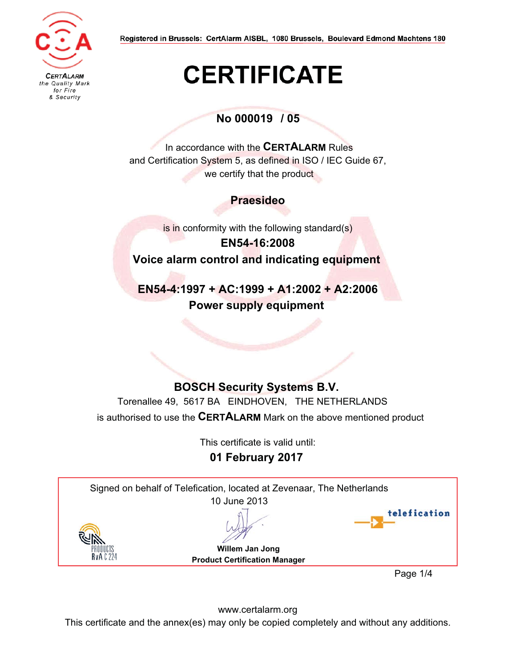

### **No 000019 / 05**

In accordance with the **CERTALARM** Rules and Certification System 5, as defined in ISO / IEC Guide 67, we certify that the product

**Praesideo**

is in conformity with the following standard(s) **EN54-16:2008 Voice alarm control and indicating equipment**

**EN54-4:1997 + AC:1999 + A1:2002 + A2:2006 Power supply equipment**

## **BOSCH Security Systems B.V.**

Torenallee 49, 5617 BA EINDHOVEN, THE NETHERLANDS is authorised to use the **CERTALARM** Mark on the above mentioned product

This certificate is valid until:

## **01 February 2017**



www.certalarm.org

This certificate and the annex(es) may only be copied completely and without any additions.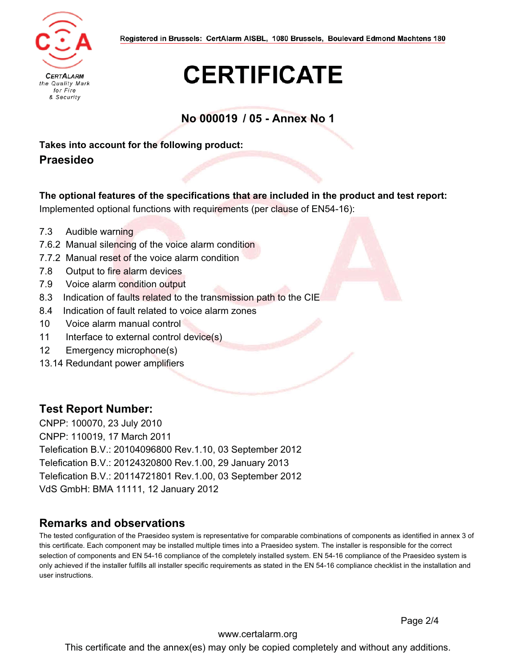

### **No 000019 / 05 - Annex No 1**

**Takes into account for the following product:**

#### **Praesideo**

**The optional features of the specifications that are included in the product and test report:**

Implemented optional functions with requirements (per clause of EN54-16):

- 7.3 Audible warning
- 7.6.2 Manual silencing of the voice alarm condition
- 7.7.2 Manual reset of the voice alarm condition
- 7.8 Output to fire alarm devices
- 7.9 Voice alarm condition output
- 8.3 Indication of faults related to the transmission path to the CIE
- 8.4 Indication of fault related to voice alarm zones
- 10 Voice alarm manual control
- 11 Interface to external control device(s)
- 12 Emergency microphone(s)
- 13.14 Redundant power amplifiers

#### **Test Report Number:**

CNPP: 100070, 23 July 2010 CNPP: 110019, 17 March 2011 Telefication B.V.: 20104096800 Rev.1.10, 03 September 2012 Telefication B.V.: 20124320800 Rev.1.00, 29 January 2013 Telefication B.V.: 20114721801 Rev.1.00, 03 September 2012 VdS GmbH: BMA 11111, 12 January 2012

#### **Remarks and observations**

The tested configuration of the Praesideo system is representative for comparable combinations of components as identified in annex 3 of this certificate. Each component may be installed multiple times into a Praesideo system. The installer is responsible for the correct selection of components and EN 54-16 compliance of the completely installed system. EN 54-16 compliance of the Praesideo system is only achieved if the installer fulfills all installer specific requirements as stated in the EN 54-16 compliance checklist in the installation and user instructions.

Page 2/4

www.certalarm.org This certificate and the annex(es) may only be copied completely and without any additions.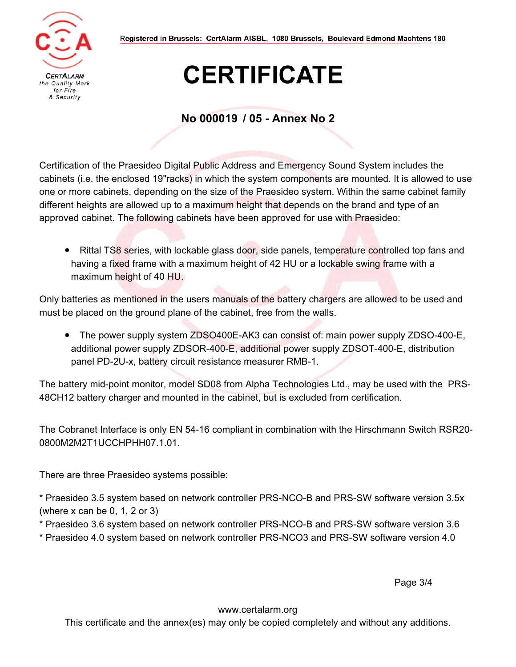

#### **No 000019 / 05 - Annex No 2**

Certification of the Praesideo Digital Public Address and Emergency Sound System includes the cabinets (i.e. the enclosed 19"racks) in which the system components are mounted. It is allowed to use one or more cabinets, depending on the size of the Praesideo system. Within the same cabinet family different heights are allowed up to a maximum height that depends on the brand and type of an approved cabinet. The following cabinets have been approved for use with Praesideo:

• Rittal TS8 series, with lockable glass door, side panels, temperature controlled top fans and having a fixed frame with a maximum height of 42 HU or a lockable swing frame with a maximum height of 40 HU.

Only batteries as mentioned in the users manuals of the battery chargers are allowed to be used and must be placed on the ground plane of the cabinet, free from the walls.

 The power supply system ZDSO400E-AK3 can consist of: main power supply ZDSO-400-E, additional power supply ZDSOR-400-E, additional power supply ZDSOT-400-E, distribution panel PD-2U-x, battery circuit resistance measurer RMB-1.

The battery mid-point monitor, model SD08 from Alpha Technologies Ltd., may be used with the PRS-48CH12 battery charger and mounted in the cabinet, but is excluded from certification.

The Cobranet Interface is only EN 54-16 compliant in combination with the Hirschmann Switch RSR20- 0800M2M2T1UCCHPHH07.1.01.

There are three Praesideo systems possible:

\* Praesideo 3.5 system based on network controller PRS-NCO-B and PRS-SW software version 3.5x (where x can be 0, 1, 2 or 3)

\* Praesideo 3.6 system based on network controller PRS-NCO-B and PRS-SW software version 3.6

\* Praesideo 4.0 system based on network controller PRS-NCO3 and PRS-SW software version 4.0

Page 3/4

www.certalarm.org

This certificate and the annex(es) may only be copied completely and without any additions.